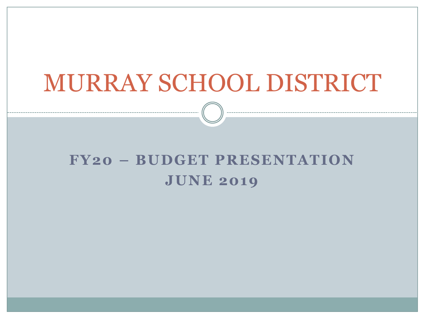## MURRAY SCHOOL DISTRICT

### **FY20 – BUDGET PRESENTATION JUNE 2019**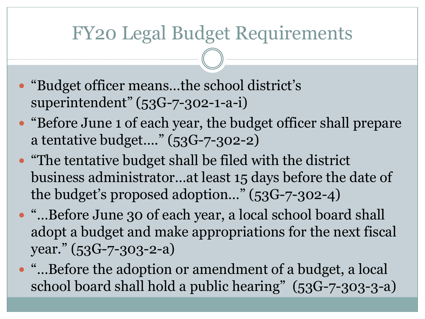### FY20 Legal Budget Requirements

- "Budget officer means…the school district's superintendent" (53G-7-302-1-a-i)
- "Before June 1 of each year, the budget officer shall prepare a tentative budget…." (53G-7-302-2)
- "The tentative budget shall be filed with the district business administrator…at least 15 days before the date of the budget's proposed adoption…" (53G-7-302-4)
- "…Before June 30 of each year, a local school board shall adopt a budget and make appropriations for the next fiscal year." (53G-7-303-2-a)
- "…Before the adoption or amendment of a budget, a local school board shall hold a public hearing" (53G-7-303-3-a)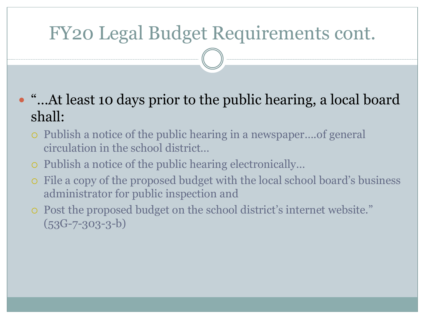### FY20 Legal Budget Requirements cont.

- "...At least 10 days prior to the public hearing, a local board shall:
	- Publish a notice of the public hearing in a newspaper….of general circulation in the school district…
	- Publish a notice of the public hearing electronically…
	- File a copy of the proposed budget with the local school board's business administrator for public inspection and
	- Post the proposed budget on the school district's internet website."  $(53G-7-303-3-b)$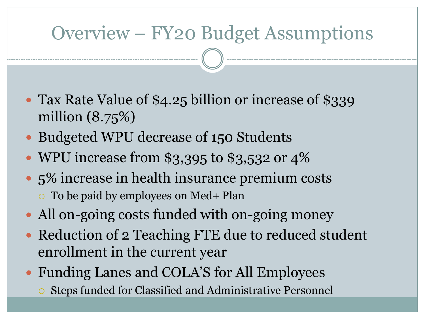### Overview – FY20 Budget Assumptions

- Tax Rate Value of \$4.25 billion or increase of \$339 million (8.75%)
- Budgeted WPU decrease of 150 Students
- WPU increase from \$3,395 to \$3,532 or 4%
- 5% increase in health insurance premium costs To be paid by employees on Med+ Plan
- All on-going costs funded with on-going money
- Reduction of 2 Teaching FTE due to reduced student enrollment in the current year
- Funding Lanes and COLA'S for All Employees
	- Steps funded for Classified and Administrative Personnel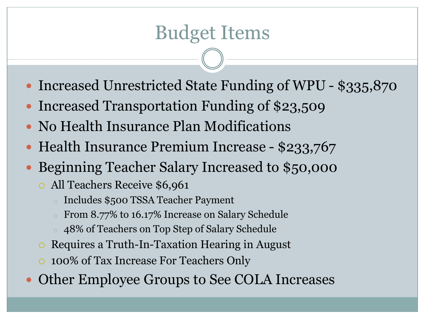### Budget Items

- Increased Unrestricted State Funding of WPU \$335,870
- Increased Transportation Funding of \$23,509
- No Health Insurance Plan Modifications
- Health Insurance Premium Increase \$233,767
- Beginning Teacher Salary Increased to \$50,000
	- All Teachers Receive \$6,961
		- o Includes \$500 TSSA Teacher Payment
		- o From 8.77% to 16.17% Increase on Salary Schedule
		- o 48% of Teachers on Top Step of Salary Schedule
	- Requires a Truth-In-Taxation Hearing in August
	- 100% of Tax Increase For Teachers Only
- Other Employee Groups to See COLA Increases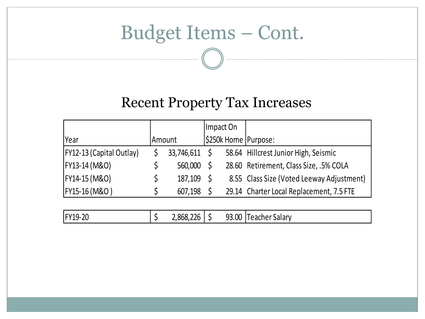### Budget Items – Cont.

#### Recent Property Tax Increases

|         |        |               | 58.64 Hillcrest Junior High, Seismic      |
|---------|--------|---------------|-------------------------------------------|
| 560,000 |        |               | 28.60 Retirement, Class Size, .5% COLA    |
| 187,109 |        |               | 8.55 Class Size (Voted Leeway Adjustment) |
| 607,198 |        |               | 29.14 Charter Local Replacement, 7.5 FTE  |
|         | Amount | 33,746,611 \$ | Impact On<br>S250k Home   Purpose:        |

| <b>93.00</b><br>.868.226<br>FY19-20<br>q٩<br>eacher Salary<br>ㅗ ~~<br>س<br><u>.</u> |
|-------------------------------------------------------------------------------------|
|-------------------------------------------------------------------------------------|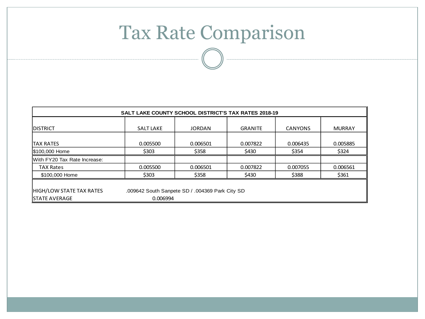### Tax Rate Comparison

| <b>SALT LAKE</b>                                | <b>JORDAN</b> |                |                |               |
|-------------------------------------------------|---------------|----------------|----------------|---------------|
|                                                 |               | <b>GRANITE</b> | <b>CANYONS</b> | <b>MURRAY</b> |
| 0.005500                                        | 0.006501      | 0.007822       | 0.006435       | 0.005885      |
| \$303                                           | \$358         | \$430          | \$354          | \$324         |
|                                                 |               |                |                |               |
| 0.005500                                        | 0.006501      | 0.007822       | 0.007055       | 0.006561      |
| \$303                                           | \$358         | \$430          | \$388          | \$361         |
| .009642 South Sanpete SD / .004369 Park City SD |               |                |                |               |
|                                                 | 0.006994      |                |                |               |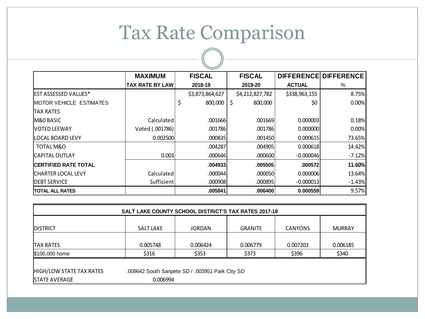### Tax Rate Comparison

|                                 | <b>MAXIMUM</b>         | <b>FISCAL</b>   | <b>FISCAL</b>   |               | DIFFERENCE DIFFERENCE |
|---------------------------------|------------------------|-----------------|-----------------|---------------|-----------------------|
|                                 | <b>TAX RATE BY LAW</b> | 2018-19         | 2019-20         | <b>ACTUAL</b> | %                     |
| <b>EST ASSESSED VALUES*</b>     |                        | \$3,873,864,627 | \$4,212,827,782 | \$338,963,155 | 8.75%                 |
| <b>IMOTOR VEHICLE ESTIMATES</b> |                        | \$<br>800,000   | \$<br>800,000   | \$0           | $0.00\%$              |
| <b>ITAX RATES</b>               |                        |                 |                 |               |                       |
| M&O BASIC                       | Calculated             | .001666         | .001669         | 0.000003      | 0.18%                 |
| <b>NOTED LEEWAY</b>             | Voted (.001786)        | .001786         | .001786         | 0.000000      | 0.00%                 |
| LOCAL BOARD LEVY                | 0.002500               | .0008351        | .001450         | 0.000615      | 73.65%II              |
| TOTAL M&O                       |                        | .004287         | .004905         | 0.000618      | 14.42%                |
| ICAPITAL OUTLAY                 | 0.003                  | .0006461        | .000600         | $-0.000046$   | $-7.12%$              |
| <b>ICERTIFIED RATE TOTAL</b>    |                        | .0049331        | .005505         | .000572       | 11.60%                |
| <b>ICHARTER LOCAL LEVY</b>      | Calculated             | .0000441        | .000050         | 0.000006      | 13.64%                |
| <b>DEBT SERVICE</b>             | Sufficient             | .000908         | .000895         | $-0.000013$   | $-1.43%$              |
| <b>TOTAL ALL RATES</b>          |                        | .005841         | .006400         | 0.000559      | 9.57%                 |

| SALT LAKE COUNTY SCHOOL DISTRICT'S TAX RATES 2017-18 |                                                          |               |                |                |               |  |
|------------------------------------------------------|----------------------------------------------------------|---------------|----------------|----------------|---------------|--|
| <b>IDISTRICT</b>                                     | SALT LAKE                                                | <b>JORDAN</b> | <b>GRANITE</b> | <b>CANYONS</b> | <b>MURRAY</b> |  |
| <b>TAX RATES</b>                                     | 0.005748<br>0.006424<br>0.006779<br>0.007203<br>0.006185 |               |                |                |               |  |
| \$100,000 home                                       | \$316                                                    | \$353         | \$373          | \$396          | \$340         |  |
|                                                      |                                                          |               |                |                |               |  |
| HIGH/LOW STATE TAX RATES                             | .009642 South Sanpete SD / .003951 Park City SD          |               |                |                |               |  |
| <b>STATE AVERAGE</b>                                 | 0.006994                                                 |               |                |                |               |  |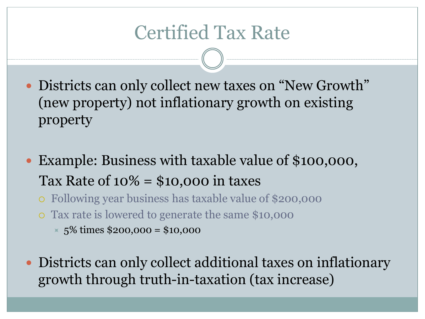### Certified Tax Rate

- Districts can only collect new taxes on "New Growth" (new property) not inflationary growth on existing property
- Example: Business with taxable value of \$100,000, Tax Rate of  $10\% = $10,000$  in taxes
	- Following year business has taxable value of \$200,000
	- Tax rate is lowered to generate the same \$10,000
		- $\times$  5% times \$200,000 = \$10,000
- Districts can only collect additional taxes on inflationary growth through truth-in-taxation (tax increase)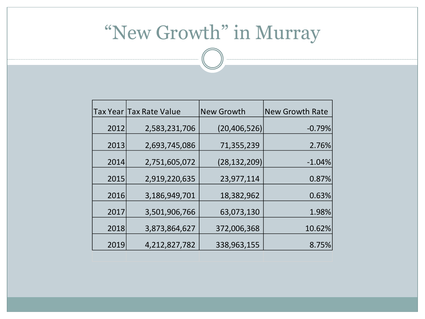### "New Growth" in Murray

|      | Tax Year Tax Rate Value | New Growth     | <b>New Growth Rate</b> |  |
|------|-------------------------|----------------|------------------------|--|
| 2012 | 2,583,231,706           | (20, 406, 526) | $-0.79%$               |  |
| 2013 | 2,693,745,086           | 71,355,239     | 2.76%                  |  |
| 2014 | 2,751,605,072           | (28, 132, 209) | $-1.04%$               |  |
|      |                         |                |                        |  |
| 2015 | 2,919,220,635           | 23,977,114     | 0.87%                  |  |
| 2016 | 3,186,949,701           | 18,382,962     | 0.63%                  |  |
| 2017 | 3,501,906,766           | 63,073,130     | 1.98%                  |  |
| 2018 | 3,873,864,627           | 372,006,368    | 10.62%                 |  |
| 2019 | 4,212,827,782           | 338,963,155    | 8.75%                  |  |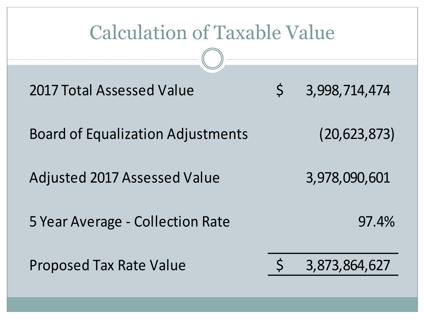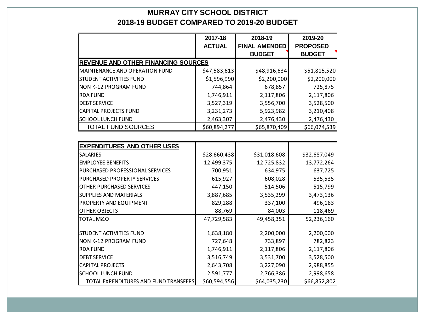#### **MURRAY CITY SCHOOL DISTRICT 2018-19 BUDGET COMPARED TO 2019-20 BUDGET**

|                                            | 2017-18       | 2018-19              | 2019-20         |
|--------------------------------------------|---------------|----------------------|-----------------|
|                                            | <b>ACTUAL</b> | <b>FINAL AMENDED</b> | <b>PROPOSED</b> |
|                                            |               | <b>BUDGET</b>        | <b>BUDGET</b>   |
| <b>REVENUE AND OTHER FINANCING SOURCES</b> |               |                      |                 |
| MAINTENANCE AND OPERATION FUND             | \$47,583,613  | \$48,916,634         | \$51,815,520    |
| <b>STUDENT ACTIVITIES FUND</b>             | \$1,596,990   | \$2,200,000          | \$2,200,000     |
| NON K-12 PROGRAM FUND                      | 744,864       | 678,857              | 725,875         |
| <b>RDA FUND</b>                            | 1,746,911     | 2,117,806            | 2,117,806       |
| <b>DEBT SERVICE</b>                        | 3,527,319     | 3,556,700            | 3,528,500       |
| CAPITAL PROJECTS FUND                      | 3,231,273     | 5,923,982            | 3,210,408       |
| <b>SCHOOL LUNCH FUND</b>                   | 2,463,307     | 2,476,430            | 2,476,430       |
| <b>TOTAL FUND SOURCES</b>                  | \$60,894,277  | \$65,870,409         | \$66,074,539    |
|                                            |               |                      |                 |
| <b>EXPENDITURES AND OTHER USES</b>         |               |                      |                 |
| <b>SALARIES</b>                            | \$28,660,438  | \$31,018,608         | \$32,687,049    |
| <b>EMPLOYEE BENEFITS</b>                   | 12,499,375    | 12,725,832           | 13,772,264      |
| <b>PURCHASED PROFESSIONAL SERVICES</b>     | 700,951       | 634,975              | 637,725         |
| <b>PURCHASED PROPERTY SERVICES</b>         | 615,927       | 608,028              | 535,535         |
| <b>OTHER PURCHASED SERVICES</b>            | 447,150       | 514,506              | 515,799         |
| <b>SUPPLIES AND MATERIALS</b>              | 3,887,685     | 3,535,299            | 3,473,136       |
| <b>PROPERTY AND EQUIPMENT</b>              | 829,288       | 337,100              | 496,183         |
| <b>OTHER OBJECTS</b>                       | 88,769        | 84,003               | 118,469         |
| <b>TOTAL M&amp;O</b>                       | 47,729,583    | 49,458,351           | 52,236,160      |
| <b>STUDENT ACTIVITIES FUND</b>             | 1,638,180     | 2,200,000            | 2,200,000       |
| NON K-12 PROGRAM FUND                      | 727,648       | 733,897              | 782,823         |
| <b>RDA FUND</b>                            | 1,746,911     | 2,117,806            | 2,117,806       |
| <b>DEBT SERVICE</b>                        | 3,516,749     | 3,531,700            | 3,528,500       |
| <b>CAPITAL PROJECTS</b>                    | 2,643,708     | 3,227,090            | 2,988,855       |
| <b>SCHOOL LUNCH FUND</b>                   | 2,591,777     | 2,766,386            | 2,998,658       |
| TOTAL EXPENDITURES AND FUND TRANSFERS      | \$60,594,556  | \$64,035,230         | \$66,852,802    |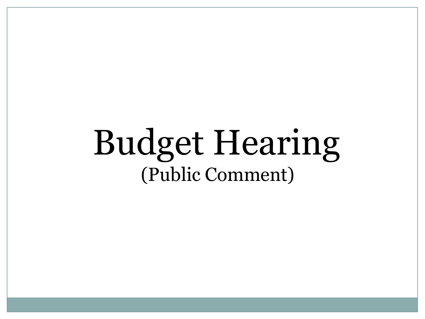# Budget Hearing (Public Comment)